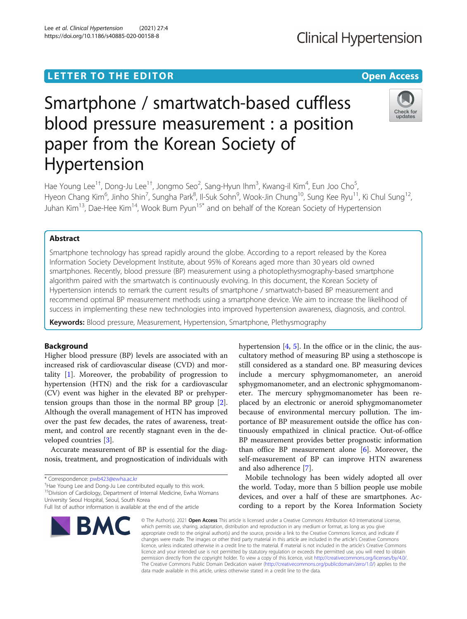## **LETTER TO THE EDITOR CONSIDERING ACCESS**

# Smartphone / smartwatch-based cuffless blood pressure measurement : a position paper from the Korean Society of Hypertension

Hae Young Lee<sup>1†</sup>, Dong-Ju Lee<sup>1†</sup>, Jongmo Seo<sup>2</sup>, Sang-Hyun Ihm<sup>3</sup>, Kwang-il Kim<sup>4</sup>, Eun Joo Cho<sup>5</sup> , Hyeon Chang Kim<sup>6</sup>, Jinho Shin<sup>7</sup>, Sungha Park<sup>8</sup>, Il-Suk Sohn<sup>9</sup>, Wook-Jin Chung<sup>10</sup>, Sung Kee Ryu<sup>11</sup>, Ki Chul Sung<sup>12</sup>, Juhan Kim13, Dae-Hee Kim14, Wook Bum Pyun15\* and on behalf of the Korean Society of Hypertension

## Abstract

Smartphone technology has spread rapidly around the globe. According to a report released by the Korea Information Society Development Institute, about 95% of Koreans aged more than 30 years old owned smartphones. Recently, blood pressure (BP) measurement using a photoplethysmography-based smartphone algorithm paired with the smartwatch is continuously evolving. In this document, the Korean Society of Hypertension intends to remark the current results of smartphone / smartwatch-based BP measurement and recommend optimal BP measurement methods using a smartphone device. We aim to increase the likelihood of success in implementing these new technologies into improved hypertension awareness, diagnosis, and control.

Keywords: Blood pressure, Measurement, Hypertension, Smartphone, Plethysmography

## Background

Higher blood pressure (BP) levels are associated with an increased risk of cardiovascular disease (CVD) and mortality [\[1](#page-6-0)]. Moreover, the probability of progression to hypertension (HTN) and the risk for a cardiovascular (CV) event was higher in the elevated BP or prehypertension groups than those in the normal BP group [\[2](#page-6-0)]. Although the overall management of HTN has improved over the past few decades, the rates of awareness, treatment, and control are recently stagnant even in the developed countries [[3\]](#page-6-0).

Accurate measurement of BP is essential for the diagnosis, treatment, and prognostication of individuals with

<sup>+</sup>Hae Young Lee and Dong-Ju Lee contributed equally to this work. <sup>15</sup>Division of Cardiology, Department of Internal Medicine, Ewha Womans

University Seoul Hospital, Seoul, South Korea

hypertension  $[4, 5]$  $[4, 5]$  $[4, 5]$  $[4, 5]$ . In the office or in the clinic, the auscultatory method of measuring BP using a stethoscope is still considered as a standard one. BP measuring devices include a mercury sphygmomanometer, an aneroid sphygmomanometer, and an electronic sphygmomanometer. The mercury sphygmomanometer has been replaced by an electronic or aneroid sphygmomanometer because of environmental mercury pollution. The importance of BP measurement outside the office has continuously empathized in clinical practice. Out-of-office BP measurement provides better prognostic information than office BP measurement alone  $[6]$  $[6]$ . Moreover, the self-measurement of BP can improve HTN awareness and also adherence [\[7](#page-6-0)].

Mobile technology has been widely adopted all over the world. Today, more than 5 billion people use mobile devices, and over a half of these are smartphones. According to a report by the Korea Information Society

© The Author(s), 2021 **Open Access** This article is licensed under a Creative Commons Attribution 4.0 International License, which permits use, sharing, adaptation, distribution and reproduction in any medium or format, as long as you give appropriate credit to the original author(s) and the source, provide a link to the Creative Commons licence, and indicate if changes were made. The images or other third party material in this article are included in the article's Creative Commons licence, unless indicated otherwise in a credit line to the material. If material is not included in the article's Creative Commons licence and your intended use is not permitted by statutory regulation or exceeds the permitted use, you will need to obtain permission directly from the copyright holder. To view a copy of this licence, visit [http://creativecommons.org/licenses/by/4.0/.](http://creativecommons.org/licenses/by/4.0/) The Creative Commons Public Domain Dedication waiver [\(http://creativecommons.org/publicdomain/zero/1.0/](http://creativecommons.org/publicdomain/zero/1.0/)) applies to the data made available in this article, unless otherwise stated in a credit line to the data.







<sup>\*</sup> Correspondence: [pwb423@ewha.ac.kr](mailto:pwb423@ewha.ac.kr) †

Full list of author information is available at the end of the article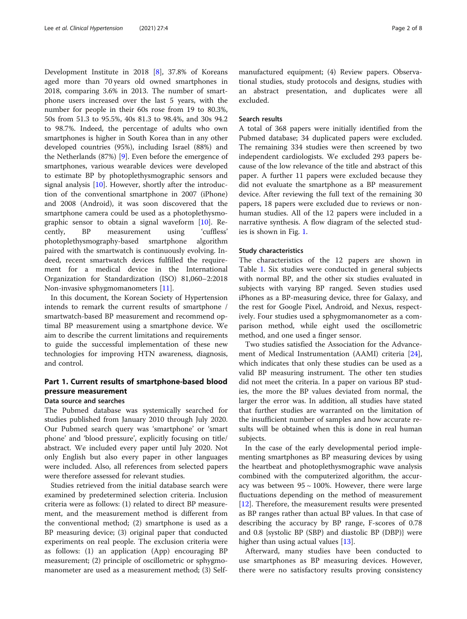Development Institute in 2018 [[8](#page-6-0)], 37.8% of Koreans aged more than 70 years old owned smartphones in 2018, comparing 3.6% in 2013. The number of smartphone users increased over the last 5 years, with the number for people in their 60s rose from 19 to 80.3%, 50s from 51.3 to 95.5%, 40s 81.3 to 98.4%, and 30s 94.2 to 98.7%. Indeed, the percentage of adults who own smartphones is higher in South Korea than in any other developed countries (95%), including Israel (88%) and the Netherlands (87%) [[9\]](#page-6-0). Even before the emergence of smartphones, various wearable devices were developed to estimate BP by photoplethysmographic sensors and signal analysis [[10](#page-6-0)]. However, shortly after the introduction of the conventional smartphone in 2007 (iPhone) and 2008 (Android), it was soon discovered that the smartphone camera could be used as a photoplethysmographic sensor to obtain a signal waveform [\[10\]](#page-6-0). Recently, BP measurement using 'cuffless' photoplethysmography-based smartphone algorithm paired with the smartwatch is continuously evolving. Indeed, recent smartwatch devices fulfilled the requirement for a medical device in the International Organization for Standardization (ISO) 81,060–2:2018 Non-invasive sphygmomanometers [[11\]](#page-6-0).

In this document, the Korean Society of Hypertension intends to remark the current results of smartphone / smartwatch-based BP measurement and recommend optimal BP measurement using a smartphone device. We aim to describe the current limitations and requirements to guide the successful implementation of these new technologies for improving HTN awareness, diagnosis, and control.

## Part 1. Current results of smartphone-based blood pressure measurement

## Data source and searches

The Pubmed database was systemically searched for studies published from January 2010 through July 2020. Our Pubmed search query was 'smartphone' or 'smart phone' and 'blood pressure', explicitly focusing on title/ abstract. We included every paper until July 2020. Not only English but also every paper in other languages were included. Also, all references from selected papers were therefore assessed for relevant studies.

Studies retrieved from the initial database search were examined by predetermined selection criteria. Inclusion criteria were as follows: (1) related to direct BP measurement, and the measurement method is different from the conventional method; (2) smartphone is used as a BP measuring device; (3) original paper that conducted experiments on real people. The exclusion criteria were as follows: (1) an application (App) encouraging BP measurement; (2) principle of oscillometric or sphygmomanometer are used as a measurement method; (3) Self-

manufactured equipment; (4) Review papers. Observational studies, study protocols and designs, studies with an abstract presentation, and duplicates were all excluded.

#### Search results

A total of 368 papers were initially identified from the Pubmed database; 34 duplicated papers were excluded. The remaining 334 studies were then screened by two independent cardiologists. We excluded 293 papers because of the low relevance of the title and abstract of this paper. A further 11 papers were excluded because they did not evaluate the smartphone as a BP measurement device. After reviewing the full text of the remaining 30 papers, 18 papers were excluded due to reviews or nonhuman studies. All of the 12 papers were included in a narrative synthesis. A flow diagram of the selected studies is shown in Fig. [1](#page-2-0).

### Study characteristics

The characteristics of the 12 papers are shown in Table [1.](#page-2-0) Six studies were conducted in general subjects with normal BP, and the other six studies evaluated in subjects with varying BP ranged. Seven studies used iPhones as a BP-measuring device, three for Galaxy, and the rest for Google Pixel, Android, and Nexus, respectively. Four studies used a sphygmomanometer as a comparison method, while eight used the oscillometric method, and one used a finger sensor.

Two studies satisfied the Association for the Advancement of Medical Instrumentation (AAMI) criteria [\[24](#page-7-0)], which indicates that only these studies can be used as a valid BP measuring instrument. The other ten studies did not meet the criteria. In a paper on various BP studies, the more the BP values deviated from normal, the larger the error was. In addition, all studies have stated that further studies are warranted on the limitation of the insufficient number of samples and how accurate results will be obtained when this is done in real human subjects.

In the case of the early developmental period implementing smartphones as BP measuring devices by using the heartbeat and photoplethysmographic wave analysis combined with the computerized algorithm, the accuracy was between  $95 \sim 100\%$ . However, there were large fluctuations depending on the method of measurement [[12\]](#page-6-0). Therefore, the measurement results were presented as BP ranges rather than actual BP values. In that case of describing the accuracy by BP range, F-scores of 0.78 and 0.8 {systolic BP (SBP) and diastolic BP (DBP)} were higher than using actual values [[13\]](#page-6-0).

Afterward, many studies have been conducted to use smartphones as BP measuring devices. However, there were no satisfactory results proving consistency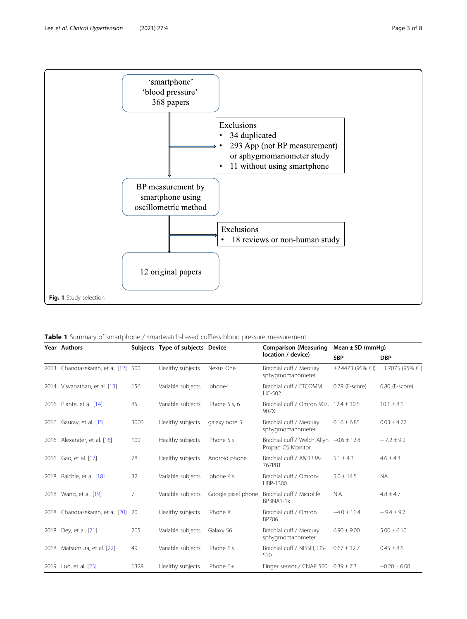<span id="page-2-0"></span>

Table 1 Summary of smartphone / smartwatch-based cuffless blood pressure measurement

| Year Authors                     |      | Subjects Type of subjects Device |                    | <b>Comparison (Measuring</b><br>location / device)               | Mean $\pm$ SD (mmHg)  |                  |
|----------------------------------|------|----------------------------------|--------------------|------------------------------------------------------------------|-----------------------|------------------|
|                                  |      |                                  |                    |                                                                  | <b>SBP</b>            | <b>DBP</b>       |
| 2013 Chandrasekaran, et al. [12] | 500  | Healthy subjects                 | Nexus One          | Brachial cuff / Mercury<br>sphygmomanometer                      | $\pm 2.4473$ (95% CI) | ±1.7073 (95% CI) |
| 2014 Visvanathan, et al. [13]    | 156  | Variable subjects                | Iphone4            | Brachial cuff / ETCOMM<br>HC-502                                 | 0.78 (F-score)        | 0.80 (F-score)   |
| 2016 Plante, et al. [14]         | 85   | Variable subjects                | iPhone 5 s, 6      | Brachial cuff / Omron 907, $12.4 \pm 10.5$<br>907XL              |                       | $10.1 \pm 8.1$   |
| 2016 Gaurav, et al. [15]         | 3000 | Healthy subjects                 | galaxy note 5      | Brachial cuff / Mercury<br>sphygmomanometer                      | $0.16 \pm 6.85$       | $0.03 \pm 4.72$  |
| 2016 Alexander, et al. [16]      | 100  | Healthy subjects                 | iPhone 5 s         | Brachial cuff / Welch Allyn $-0.6 \pm 12.8$<br>Propag CS Monitor |                       | $+7.2 \pm 9.2$   |
| 2016 Gao, et al. [17]            | 78   | Healthy subjects                 | Android phone      | Brachial cuff / A&D UA-<br>767PBT                                | $5.1 \pm 4.3$         | $4.6 \pm 4.3$    |
| 2018 Raichle, et al. [18]        | 32   | Variable subjects                | Iphone 4s          | Brachial cuff / Omron-<br>HBP-1300                               | $5.0 \pm 14.5$        | NA.              |
| 2018 Wang, et al. [19]           | 7    | Variable subjects                | Google pixel phone | Brachial cuff / Microlife<br>BP3NA1-1x                           | N.A.                  | $4.8 \pm 4.7$    |
| 2018 Chandrasekaran, et al. [20] | -20  | Healthy subjects                 | iPhone X           | Brachial cuff / Omron<br><b>BP786</b>                            | $-4.0 \pm 11.4$       | $-9.4 \pm 9.7$   |
| 2018 Dev, et al. [21]            | 205  | Variable subjects                | Galaxy S6          | Brachial cuff / Mercury<br>sphygmomanometer                      | $6.90 \pm 9.00$       | $5.00 \pm 6.10$  |
| 2018 Matsumura, et al. [22]      | 49   | Variable subjects                | iPhone 6s          | Brachial cuff / NISSEI, DS-<br>S <sub>10</sub>                   | $0.67 \pm 12.7$       | $0.45 \pm 8.6$   |
| 2019 Luo, et al. [23]            | 1328 | Healthy subjects                 | iPhone 6+          | Finger sensor / CNAP 500 $0.39 \pm 7.3$                          |                       | $-0.20 \pm 6.00$ |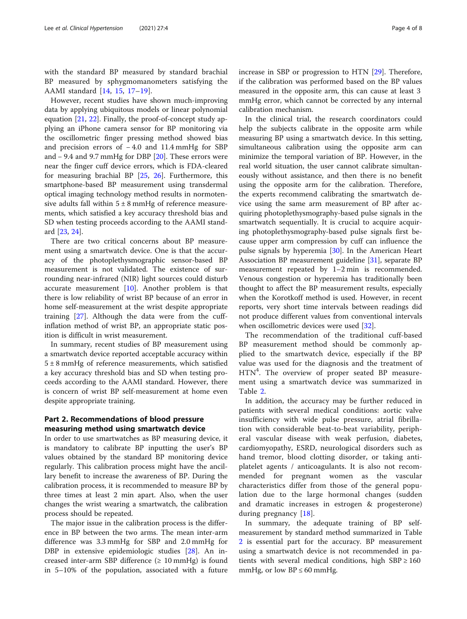with the standard BP measured by standard brachial BP measured by sphygmomanometers satisfying the AAMI standard [\[14](#page-6-0), [15,](#page-6-0) [17](#page-6-0)–[19\]](#page-7-0).

However, recent studies have shown much-improving data by applying ubiquitous models or linear polynomial equation [[21](#page-7-0), [22](#page-7-0)]. Finally, the proof-of-concept study applying an iPhone camera sensor for BP monitoring via the oscillometric finger pressing method showed bias and precision errors of − 4.0 and 11.4 mmHg for SBP and − 9.4 and 9.7 mmHg for DBP [[20](#page-7-0)]. These errors were near the finger cuff device errors, which is FDA-cleared for measuring brachial BP [[25,](#page-7-0) [26\]](#page-7-0). Furthermore, this smartphone-based BP measurement using transdermal optical imaging technology method results in normotensive adults fall within  $5 \pm 8$  mmHg of reference measurements, which satisfied a key accuracy threshold bias and SD when testing proceeds according to the AAMI standard [\[23,](#page-7-0) [24\]](#page-7-0).

There are two critical concerns about BP measurement using a smartwatch device. One is that the accuracy of the photoplethysmographic sensor-based BP measurement is not validated. The existence of surrounding near-infrared (NIR) light sources could disturb accurate measurement  $[10]$ . Another problem is that there is low reliability of wrist BP because of an error in home self-measurement at the wrist despite appropriate training [\[27](#page-7-0)]. Although the data were from the cuffinflation method of wrist BP, an appropriate static position is difficult in wrist measurement.

In summary, recent studies of BP measurement using a smartwatch device reported acceptable accuracy within  $5 \pm 8$  mmHg of reference measurements, which satisfied a key accuracy threshold bias and SD when testing proceeds according to the AAMI standard. However, there is concern of wrist BP self-measurement at home even despite appropriate training.

## Part 2. Recommendations of blood pressure measuring method using smartwatch device

In order to use smartwatches as BP measuring device, it is mandatory to calibrate BP inputting the user's BP values obtained by the standard BP monitoring device regularly. This calibration process might have the ancillary benefit to increase the awareness of BP. During the calibration process, it is recommended to measure BP by three times at least 2 min apart. Also, when the user changes the wrist wearing a smartwatch, the calibration process should be repeated.

The major issue in the calibration process is the difference in BP between the two arms. The mean inter-arm difference was 3.3 mmHg for SBP and 2.0 mmHg for DBP in extensive epidemiologic studies [\[28](#page-7-0)]. An increased inter-arm SBP difference  $(≥ 10 mmHg)$  is found in 5–10% of the population, associated with a future increase in SBP or progression to HTN [\[29\]](#page-7-0). Therefore, if the calibration was performed based on the BP values measured in the opposite arm, this can cause at least 3 mmHg error, which cannot be corrected by any internal calibration mechanism.

In the clinical trial, the research coordinators could help the subjects calibrate in the opposite arm while measuring BP using a smartwatch device. In this setting, simultaneous calibration using the opposite arm can minimize the temporal variation of BP. However, in the real world situation, the user cannot calibrate simultaneously without assistance, and then there is no benefit using the opposite arm for the calibration. Therefore, the experts recommend calibrating the smartwatch device using the same arm measurement of BP after acquiring photoplethysmography-based pulse signals in the smartwatch sequentially. It is crucial to acquire acquiring photoplethysmography-based pulse signals first because upper arm compression by cuff can influence the pulse signals by hyperemia [[30](#page-7-0)]. In the American Heart Association BP measurement guideline [\[31\]](#page-7-0), separate BP measurement repeated by 1–2 min is recommended. Venous congestion or hyperemia has traditionally been thought to affect the BP measurement results, especially when the Korotkoff method is used. However, in recent reports, very short time intervals between readings did not produce different values from conventional intervals when oscillometric devices were used [\[32](#page-7-0)].

The recommendation of the traditional cuff-based BP measurement method should be commonly applied to the smartwatch device, especially if the BP value was used for the diagnosis and the treatment of HTN<sup>4</sup>. The overview of proper seated BP measurement using a smartwatch device was summarized in Table [2](#page-4-0).

In addition, the accuracy may be further reduced in patients with several medical conditions: aortic valve insufficiency with wide pulse pressure, atrial fibrillation with considerable beat-to-beat variability, peripheral vascular disease with weak perfusion, diabetes, cardiomyopathy, ESRD, neurological disorders such as hand tremor, blood clotting disorder, or taking antiplatelet agents / anticoagulants. It is also not recommended for pregnant women as the vascular characteristics differ from those of the general population due to the large hormonal changes (sudden and dramatic increases in estrogen & progesterone) during pregnancy [[18](#page-6-0)].

In summary, the adequate training of BP selfmeasurement by standard method summarized in Table [2](#page-4-0) is essential part for the accuracy. BP measurement using a smartwatch device is not recommended in patients with several medical conditions, high  $SBP \ge 160$ mmHg, or low  $BP \leq 60$  mmHg.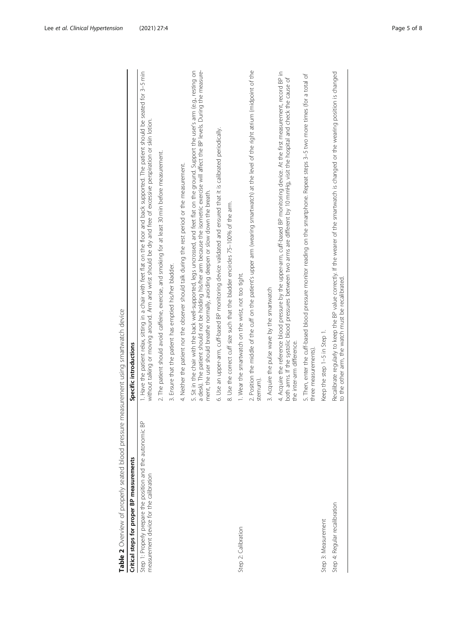<span id="page-4-0"></span>

| Critical steps for proper BP measurements                                                            | Specific introductions                                                                                                                                                                                                                                                                                                                                              |
|------------------------------------------------------------------------------------------------------|---------------------------------------------------------------------------------------------------------------------------------------------------------------------------------------------------------------------------------------------------------------------------------------------------------------------------------------------------------------------|
| Step 1: Properly prepare the position and the autonomic BP<br>measurement device for the calibration | 1. Have the patient relax, sitting in a chair with feet flat on the floor and back supported. The patient should be seated for 3-5 min<br>without talking or moving around. Arm and wrist should be dry and free of excessive perspiration or skin lotion.                                                                                                          |
|                                                                                                      | 2. The patient should avoid caffeine, exercise, and smoking for at least 30 min before measurement.                                                                                                                                                                                                                                                                 |
|                                                                                                      | 3. Ensure that the patient has emptied his/her bladder.                                                                                                                                                                                                                                                                                                             |
|                                                                                                      | 4. Neither the patient nor the observer should talk during the rest period or the measurement.                                                                                                                                                                                                                                                                      |
|                                                                                                      | a desk). The patient should not be holding his/her arm because the isometric exercise will affect the BP levels. During the measure-<br>5. Sit in the chair with the back well-supported, legs uncrossed, and feet flat on the ground. Support the user's arm (e.g., resting on<br>ment, the user should breathe normally, avoiding deepen or slow down the breath. |
|                                                                                                      | 6. Use an upper-arm, cuff-based BP monitoring device validated and ensured that it is calibrated periodically.                                                                                                                                                                                                                                                      |
|                                                                                                      | 8. Use the correct cuff size such that the bladder encircles 75-100% of the arm.                                                                                                                                                                                                                                                                                    |
| Step 2: Calibration                                                                                  | 1. Wear the smartwatch on the wrist, not too tight.                                                                                                                                                                                                                                                                                                                 |
|                                                                                                      | 2. Position the middle of the cuff on the patient's upper arm (wearing smartwatch) at the level of the right atrium (midpoint of the<br>sternum)                                                                                                                                                                                                                    |
|                                                                                                      | 3. Acquire the pulse wave by the smartwatch                                                                                                                                                                                                                                                                                                                         |
|                                                                                                      | 4. Acquire the reference blood pressure by the upper-arm, cuff-based BP monitoring device. At the first measurement, record BP in<br>both arms. If the systolic blood pressures between two arms are different by 10 mmHg, visit the hospital and check the cause of<br>the inter-arm difference.                                                                   |
|                                                                                                      | 5. Then, enter the cuff-based blood pressure monitor reading on the smartphone. Repeat steps 3-5 two more times (for a total of<br>three measurements)                                                                                                                                                                                                              |
| Step 3: Measurement                                                                                  | Keep the step 1-5 in Step 1.                                                                                                                                                                                                                                                                                                                                        |
| Step 4: Regular recalibration                                                                        | Recalibrate regularly to keep the BP value correctly. If the wearer of the smartwatch is changed or the wearing position is changed<br>to the other arm, the watch must be recalibrated.                                                                                                                                                                            |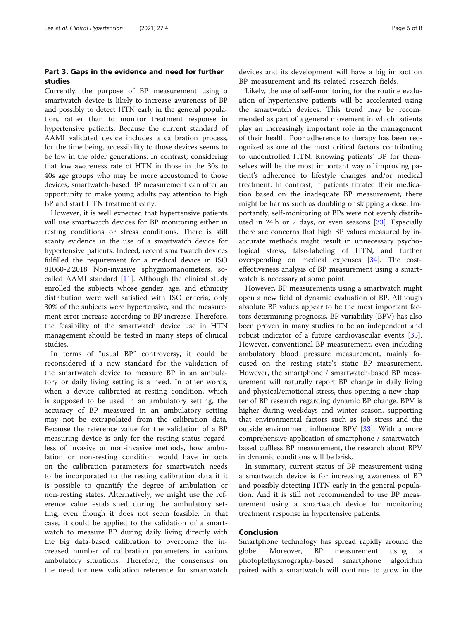## Part 3. Gaps in the evidence and need for further studies

Currently, the purpose of BP measurement using a smartwatch device is likely to increase awareness of BP and possibly to detect HTN early in the general population, rather than to monitor treatment response in hypertensive patients. Because the current standard of AAMI validated device includes a calibration process, for the time being, accessibility to those devices seems to be low in the older generations. In contrast, considering that low awareness rate of HTN in those in the 30s to 40s age groups who may be more accustomed to those devices, smartwatch-based BP measurement can offer an opportunity to make young adults pay attention to high BP and start HTN treatment early.

However, it is well expected that hypertensive patients will use smartwatch devices for BP monitoring either in resting conditions or stress conditions. There is still scanty evidence in the use of a smartwatch device for hypertensive patients. Indeed, recent smartwatch devices fulfilled the requirement for a medical device in ISO 81060-2:2018 Non-invasive sphygmomanometers, socalled AAMI standard  $[11]$ . Although the clinical study enrolled the subjects whose gender, age, and ethnicity distribution were well satisfied with ISO criteria, only 30% of the subjects were hypertensive, and the measurement error increase according to BP increase. Therefore, the feasibility of the smartwatch device use in HTN management should be tested in many steps of clinical studies.

In terms of "usual BP" controversy, it could be reconsidered if a new standard for the validation of the smartwatch device to measure BP in an ambulatory or daily living setting is a need. In other words, when a device calibrated at resting condition, which is supposed to be used in an ambulatory setting, the accuracy of BP measured in an ambulatory setting may not be extrapolated from the calibration data. Because the reference value for the validation of a BP measuring device is only for the resting status regardless of invasive or non-invasive methods, how ambulation or non-resting condition would have impacts on the calibration parameters for smartwatch needs to be incorporated to the resting calibration data if it is possible to quantify the degree of ambulation or non-resting states. Alternatively, we might use the reference value established during the ambulatory setting, even though it does not seem feasible. In that case, it could be applied to the validation of a smartwatch to measure BP during daily living directly with the big data-based calibration to overcome the increased number of calibration parameters in various ambulatory situations. Therefore, the consensus on the need for new validation reference for smartwatch devices and its development will have a big impact on BP measurement and its related research fields.

Likely, the use of self-monitoring for the routine evaluation of hypertensive patients will be accelerated using the smartwatch devices. This trend may be recommended as part of a general movement in which patients play an increasingly important role in the management of their health. Poor adherence to therapy has been recognized as one of the most critical factors contributing to uncontrolled HTN. Knowing patients' BP for themselves will be the most important way of improving patient's adherence to lifestyle changes and/or medical treatment. In contrast, if patients titrated their medication based on the inadequate BP measurement, there might be harms such as doubling or skipping a dose. Importantly, self-monitoring of BPs were not evenly distributed in 24 h or 7 days, or even seasons  $[33]$  $[33]$  $[33]$ . Especially there are concerns that high BP values measured by inaccurate methods might result in unnecessary psychological stress, false-labeling of HTN, and further overspending on medical expenses [[34](#page-7-0)]. The costeffectiveness analysis of BP measurement using a smartwatch is necessary at some point.

However, BP measurements using a smartwatch might open a new field of dynamic evaluation of BP. Although absolute BP values appear to be the most important factors determining prognosis, BP variability (BPV) has also been proven in many studies to be an independent and robust indicator of a future cardiovascular events [\[35](#page-7-0)]. However, conventional BP measurement, even including ambulatory blood pressure measurement, mainly focused on the resting state's static BP measurement. However, the smartphone / smartwatch-based BP measurement will naturally report BP change in daily living and physical/emotional stress, thus opening a new chapter of BP research regarding dynamic BP change. BPV is higher during weekdays and winter season, supporting that environmental factors such as job stress and the outside environment influence BPV [\[33\]](#page-7-0). With a more comprehensive application of smartphone / smartwatchbased cuffless BP measurement, the research about BPV in dynamic conditions will be brisk.

In summary, current status of BP measurement using a smartwatch device is for increasing awareness of BP and possibly detecting HTN early in the general population. And it is still not recommended to use BP measurement using a smartwatch device for monitoring treatment response in hypertensive patients.

## Conclusion

Smartphone technology has spread rapidly around the globe. Moreover, BP measurement using a photoplethysmography-based smartphone algorithm paired with a smartwatch will continue to grow in the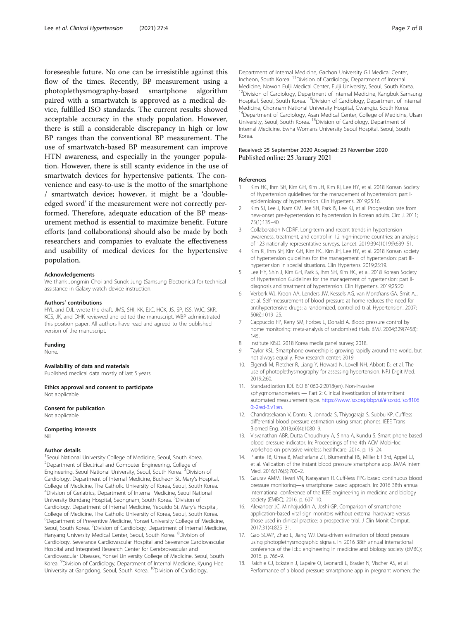<span id="page-6-0"></span>foreseeable future. No one can be irresistible against this flow of the times. Recently, BP measurement using a photoplethysmography-based smartphone algorithm paired with a smartwatch is approved as a medical device, fulfilled ISO standards. The current results showed acceptable accuracy in the study population. However, there is still a considerable discrepancy in high or low BP ranges than the conventional BP measurement. The use of smartwatch-based BP measurement can improve HTN awareness, and especially in the younger population. However, there is still scanty evidence in the use of smartwatch devices for hypertensive patients. The convenience and easy-to-use is the motto of the smartphone / smartwatch device; however, it might be a 'doubleedged sword' if the measurement were not correctly performed. Therefore, adequate education of the BP measurement method is essential to maximize benefit. Future efforts (and collaborations) should also be made by both researchers and companies to evaluate the effectiveness and usability of medical devices for the hypertensive population.

#### Acknowledgements

We thank Jongmin Choi and Sunok Jung (Samsung Electronics) for technical assistance in Galaxy watch device instruction.

#### Authors' contributions

HYL and DJL wrote the draft. JMS, SHI, KK, EJC, HCK, JS, SP, ISS, WJC, SKR, KCS, JK, and DHK reviewed and edited the manuscript. WBP administrated this position paper. All authors have read and agreed to the published version of the manuscript.

#### Funding

None.

#### Availability of data and materials

Published medical data mostly of last 5 years.

Ethics approval and consent to participate Not applicable.

#### Consent for publication

Not applicable.

#### Competing interests Nil.

## Author details

<sup>1</sup>Seoul National University College of Medicine, Seoul, South Korea. <sup>2</sup>Department of Electrical and Computer Engineering, College of Engineering, Seoul National University, Seoul, South Korea. <sup>3</sup> Division of Cardiology, Department of Internal Medicine, Bucheon St. Mary's Hospital, College of Medicine, The Catholic University of Korea, Seoul, South Korea. 4 Division of Geriatrics, Department of Internal Medicine, Seoul National University Bundang Hospital, Seongnam, South Korea. <sup>5</sup>Division of Cardiology, Department of Internal Medicine, Yeouido St. Mary's Hospital, College of Medicine, The Catholic University of Korea, Seoul, South Korea. <sup>6</sup>Department of Preventive Medicine, Yonsei University College of Medicine, Seoul, South Korea. <sup>7</sup> Division of Cardiology, Department of Internal Medicine, Hanyang University Medical Center, Seoul, South Korea. <sup>8</sup>Division of Cardiology, Severance Cardiovascular Hospital and Severance Cardiovascular Hospital and Integrated Research Center for Cerebrovascular and Cardiovascular Diseases, Yonsei University College of Medicine, Seoul, South Korea. <sup>9</sup>Division of Cardiology, Department of Internal Medicine, Kyung Hee University at Gangdong, Seoul, South Korea. <sup>10</sup>Division of Cardiology,

Department of Internal Medicine, Gachon University Gil Medical Center, Incheon, South Korea. 11Division of Cardiology, Department of Internal Medicine, Nowon Eulji Medical Center, Eulji University, Seoul, South Korea. <sup>12</sup>Division of Cardiology, Department of Internal Medicine, Kangbuk Samsung Hospital, Seoul, South Korea. <sup>13</sup>Division of Cardiology, Department of Internal Medicine, Chonnam National University Hospital, Gwangju, South Korea. <sup>14</sup>Department of Cardiology, Asan Medical Center, College of Medicine, Ulsan University, Seoul, South Korea. 15Division of Cardiology, Department of Internal Medicine, Ewha Womans University Seoul Hospital, Seoul, South Korea.

#### Received: 25 September 2020 Accepted: 23 November 2020 Published online: 25 January 2021

#### References

- 1. Kim HC, Ihm SH, Kim GH, Kim JH, Kim KI, Lee HY, et al. 2018 Korean Society of Hypertension guidelines for the management of hypertension: part Iepidemiology of hypertension. Clin Hypertens. 2019;25:16.
- 2. Kim SJ, Lee J, Nam CM, Jee SH, Park IS, Lee KJ, et al. Progression rate from new-onset pre-hypertension to hypertension in Korean adults. Circ J. 2011; 75(1):135–40.
- 3. Collaboration NCDRF. Long-term and recent trends in hypertension awareness, treatment, and control in 12 high-income countries: an analysis of 123 nationally representative surveys. Lancet. 2019;394(10199):639–51.
- 4. Kim KI, Ihm SH, Kim GH, Kim HC, Kim JH, Lee HY, et al. 2018 Korean society of hypertension guidelines for the management of hypertension: part IIIhypertension in special situations. Clin Hypertens. 2019;25:19.
- 5. Lee HY, Shin J, Kim GH, Park S, Ihm SH, Kim HC, et al. 2018 Korean Society of Hypertension Guidelines for the management of hypertension: part IIdiagnosis and treatment of hypertension. Clin Hypertens. 2019;25:20.
- 6. Verberk WJ, Kroon AA, Lenders JW, Kessels AG, van Montfrans GA, Smit AJ, et al. Self-measurement of blood pressure at home reduces the need for antihypertensive drugs: a randomized, controlled trial. Hypertension. 2007; 50(6):1019–25.
- 7. Cappuccio FP, Kerry SM, Forbes L, Donald A. Blood pressure control by home monitoring: meta-analysis of randomised trials. BMJ. 2004;329(7458): 145.
- 8. Institute KISD. 2018 Korea media panel survey; 2018.
- Taylor KSL. Smartphone ownership is growing rapidly around the world, but not always equally. Pew research center; 2019.
- 10. Elgendi M, Fletcher R, Liang Y, Howard N, Lovell NH, Abbott D, et al. The use of photoplethysmography for assessing hypertension. NPJ Digit Med. 2019;2:60.
- 11. Standardization IOf. ISO 81060-2:2018(en). Non-invasive sphygmomanometers — Part 2: Clinical investigation of intermittent automated measurement type. https://[www.iso.org](https://www.iso.org/obp/ui/#iso:std:iso:81060:-2:ed-3:v1:en)/obp/ui/#iso:std:iso:8106 0:-2:ed-3:[v1:en](https://www.iso.org/obp/ui/#iso:std:iso:81060:-2:ed-3:v1:en).
- 12. Chandrasekaran V, Dantu R, Jonnada S, Thiyagaraja S, Subbu KP. Cuffless differential blood pressure estimation using smart phones. IEEE Trans Biomed Eng. 2013;60(4):1080–9.
- 13. Visvanathan ABR, Dutta Choudhury A, Sinha A, Kundu S. Smart phone based blood pressure indicator. In: Proceedings of the 4th ACM MobiHoc workshop on pervasive wireless healthcare; 2014. p. 19–24.
- 14. Plante TB, Urrea B, MacFarlane ZT, Blumenthal RS, Miller ER 3rd, Appel LJ, et al. Validation of the instant blood pressure smartphone app. JAMA Intern Med. 2016;176(5):700–2.
- 15. Gaurav AMM, Tiwari VN, Narayanan R. Cuff-less PPG based continuous blood pressure monitoring—a smartphone based approach. In: 2016 38th annual international conference of the IEEE engineering in medicine and biology society (EMBC); 2016. p. 607–10.
- 16. Alexander JC, Minhajuddin A, Joshi GP. Comparison of smartphone application-based vital sign monitors without external hardware versus those used in clinical practice: a prospective trial. J Clin Monit Comput. 2017;31(4):825–31.
- 17. Gao SCWP, Zhao L, Jiang WJ. Data-driven estimation of blood pressure using photoplethysmographic signals. In: 2016 38th annual international conference of the IEEE engineering in medicine and biology society (EMBC); 2016. p. 766–9.
- 18. Raichle CJ, Eckstein J, Lapaire O, Leonardi L, Brasier N, Vischer AS, et al. Performance of a blood pressure smartphone app in pregnant women: the